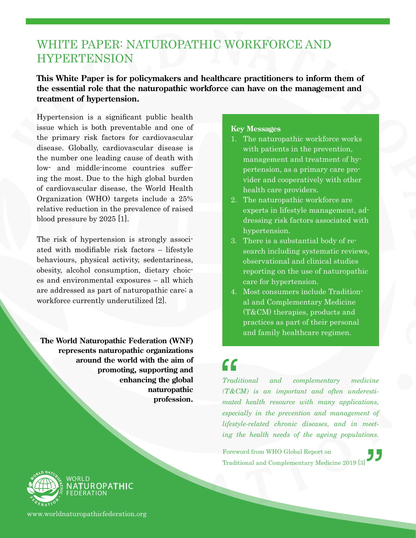### WHITE PAPER: NATUROPATHIC WORKFORCE AND HYPERTENSION

#### **This White Paper is for policymakers and healthcare practitioners to inform them of the essential role that the naturopathic workforce can have on the management and treatment of hypertension.**

Hypertension is a significant public health issue which is both preventable and one of the primary risk factors for cardiovascular disease. Globally, cardiovascular disease is the number one leading cause of death with low- and middle-income countries suffering the most. Due to the high global burden of cardiovascular disease, the World Health Organization (WHO) targets include a 25% relative reduction in the prevalence of raised blood pressure by 2025 [1].

The risk of hypertension is strongly associated with modifiable risk factors – lifestyle behaviours, physical activity, sedentariness, obesity, alcohol consumption, dietary choices and environmental exposures – all which are addressed as part of naturopathic care; a workforce currently underutilized [2].

**The World Naturopathic Federation (WNF) represents naturopathic organizations around the world with the aim of promoting, supporting and enhancing the global naturopathic profession.**

#### **Key Messages**

- 1. The naturopathic workforce works with patients in the prevention, management and treatment of hypertension, as a primary care provider and cooperatively with other health care providers.
- 2. The naturopathic workforce are experts in lifestyle management, addressing risk factors associated with hypertension.
- 3. There is a substantial body of research including systematic reviews, observational and clinical studies reporting on the use of naturopathic care for hypertension.
- 4. Most consumers include Traditional and Complementary Medicine (T&CM) therapies, products and practices as part of their personal and family healthcare regimen.

# $\left\{ \begin{array}{c} \mathbf{C} \\ \mathbf{J} \end{array} \right.$

 $\overset{\cdot }{\mathit{^\textit{leet-}}}$ <br> $\mathit{^\textit{ons.}}$  $and$  complementary medicine *(T&CM) is an important and often underestimated health resource with many applications, especially in the prevention and management of lifestyle-related chronic diseases, and in meeting the health needs of the ageing populations.*

Foreword from WHO Global Report on Traditional and Complementary Medicine 2019 [3]



www.worldnaturopathicfederation.org

**TUROPATHIC**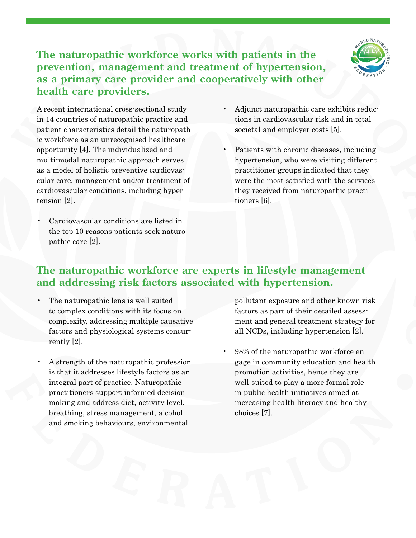**The naturopathic workforce works with patients in the prevention, management and treatment of hypertension, as a primary care provider and cooperatively with other health care providers.**



A recent international cross-sectional study in 14 countries of naturopathic practice and patient characteristics detail the naturopathic workforce as an unrecognised healthcare opportunity [4]. The individualized and multi-modal naturopathic approach serves as a model of holistic preventive cardiovascular care, management and/or treatment of cardiovascular conditions, including hypertension [2].

• Cardiovascular conditions are listed in the top 10 reasons patients seek naturopathic care [2].

- Adjunct naturopathic care exhibits reductions in cardiovascular risk and in total societal and employer costs [5].
- Patients with chronic diseases, including hypertension, who were visiting different practitioner groups indicated that they were the most satisfied with the services they received from naturopathic practitioners [6].

#### **The naturopathic workforce are experts in lifestyle management and addressing risk factors associated with hypertension.**

- The naturopathic lens is well suited to complex conditions with its focus on complexity, addressing multiple causative factors and physiological systems concurrently [2].
- A strength of the naturopathic profession is that it addresses lifestyle factors as an integral part of practice. Naturopathic practitioners support informed decision making and address diet, activity level, breathing, stress management, alcohol and smoking behaviours, environmental

pollutant exposure and other known risk factors as part of their detailed assessment and general treatment strategy for all NCDs, including hypertension [2].

• 98% of the naturopathic workforce engage in community education and health promotion activities, hence they are well-suited to play a more formal role in public health initiatives aimed at increasing health literacy and healthy choices [7].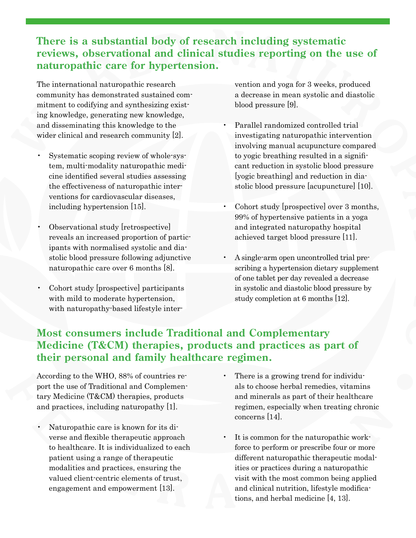### **There is a substantial body of research including systematic reviews, observational and clinical studies reporting on the use of naturopathic care for hypertension.**

The international naturopathic research community has demonstrated sustained commitment to codifying and synthesizing existing knowledge, generating new knowledge, and disseminating this knowledge to the wider clinical and research community [2].

- Systematic scoping review of whole-system, multi-modality naturopathic medicine identified several studies assessing the effectiveness of naturopathic interventions for cardiovascular diseases, including hypertension [15].
- Observational study [retrospective] reveals an increased proportion of participants with normalised systolic and diastolic blood pressure following adjunctive naturopathic care over 6 months [8].
- Cohort study [prospective] participants with mild to moderate hypertension, with naturopathy-based lifestyle inter-

vention and yoga for 3 weeks, produced a decrease in mean systolic and diastolic blood pressure [9].

- Parallel randomized controlled trial investigating naturopathic intervention involving manual acupuncture compared to yogic breathing resulted in a significant reduction in systolic blood pressure [yogic breathing] and reduction in diastolic blood pressure [acupuncture] [10].
- Cohort study [prospective] over 3 months, 99% of hypertensive patients in a yoga and integrated naturopathy hospital achieved target blood pressure [11].
- A single-arm open uncontrolled trial prescribing a hypertension dietary supplement of one tablet per day revealed a decrease in systolic and diastolic blood pressure by study completion at 6 months [12].

### **Most consumers include Traditional and Complementary Medicine (T&CM) therapies, products and practices as part of their personal and family healthcare regimen.**

According to the WHO, 88% of countries report the use of Traditional and Complementary Medicine (T&CM) therapies, products and practices, including naturopathy [1].

- Naturopathic care is known for its diverse and flexible therapeutic approach to healthcare. It is individualized to each patient using a range of therapeutic modalities and practices, ensuring the valued client-centric elements of trust, engagement and empowerment [13].
- There is a growing trend for individuals to choose herbal remedies, vitamins and minerals as part of their healthcare regimen, especially when treating chronic concerns [14].
- It is common for the naturopathic workforce to perform or prescribe four or more different naturopathic therapeutic modalities or practices during a naturopathic visit with the most common being applied and clinical nutrition, lifestyle modifications, and herbal medicine [4, 13].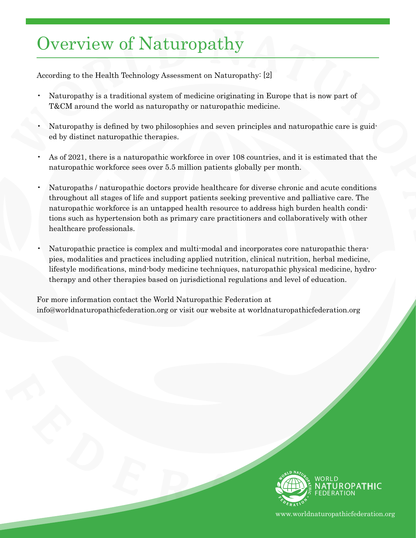## Overview of Naturopathy

According to the Health Technology Assessment on Naturopathy: [2]

- Naturopathy is a traditional system of medicine originating in Europe that is now part of T&CM around the world as naturopathy or naturopathic medicine.
- Naturopathy is defined by two philosophies and seven principles and naturopathic care is guided by distinct naturopathic therapies.
- As of 2021, there is a naturopathic workforce in over 108 countries, and it is estimated that the naturopathic workforce sees over 5.5 million patients globally per month.
- Naturopaths / naturopathic doctors provide healthcare for diverse chronic and acute conditions throughout all stages of life and support patients seeking preventive and palliative care. The naturopathic workforce is an untapped health resource to address high burden health conditions such as hypertension both as primary care practitioners and collaboratively with other healthcare professionals.
- Naturopathic practice is complex and multi-modal and incorporates core naturopathic therapies, modalities and practices including applied nutrition, clinical nutrition, herbal medicine, lifestyle modifications, mind-body medicine techniques, naturopathic physical medicine, hydrotherapy and other therapies based on jurisdictional regulations and level of education.

For more information contact the World Naturopathic Federation at info@worldnaturopathicfederation.org or visit our website at worldnaturopathicfederation.org



www.worldnaturopathicfederation.org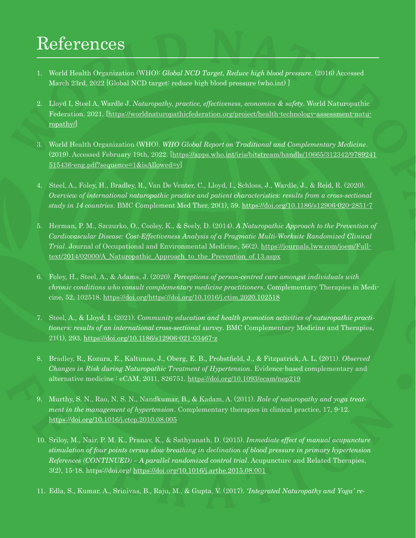# References

- 1. World Health Organization (WHO): *Global NCD Target, Reduce high blood pressure*. (2016) Accessed March 23rd, 2022 [Global NCD target: reduce high blood pressure (who.int) ]
- 2. Lloyd I, Steel A, Wardle J. *Naturopathy, practice, effectiveness, economics & safety*. World Naturopathic Federation. 2021. [\[https://worldnaturopathicfederation.org/project/health-technology-assessment-natu](https://worldnaturopathicfederation.org/project/health-technology-assessment-naturopathy/)[ropathy/\]](https://worldnaturopathicfederation.org/project/health-technology-assessment-naturopathy/)
- 3. World Health Organization (WHO). *WHO Global Report on Traditional and Complementary Medicine*. (2019). Accessed February 19th, 2022. [[https://apps.who.int/iris/bitstream/handle/10665/312342/9789241](https://apps.who.int/iris/bitstream/handle/10665/312342/9789241515436-eng.pdf?sequence=1&isAllowed=y) [515436-eng.pdf?sequence=1&isAllowed=y](https://apps.who.int/iris/bitstream/handle/10665/312342/9789241515436-eng.pdf?sequence=1&isAllowed=y)]
- 4. Steel, A., Foley, H., Bradley, R., Van De Venter, C., Lloyd, I., Schloss, J., Wardle, J., & Reid, R. (2020). *Overview of international naturopathic practice and patient characteristics: results from a cross-sectional study in 14 countries*. BMC Complement Med Ther, 20(1), 59.<https://doi.org/10.1186/s12906-020-2851-7>
- 5. Herman, P. M., Szczurko, O., Cooley, K., & Seely, D. (2014). *A Naturopathic Approach to the Prevention of Cardiovascular Disease: Cost-Effectiveness Analysis of a Pragmatic Multi-Worksite Randomized Clinical Trial*. Journal of Occupational and Environmental Medicine, 56(2). [https://journals.lww.com/joem/Full](https://journals.lww.com/joem/Fulltext/2014/02000/A_Naturopathic_Approach_to_the_Prevention_of.13.aspx)[text/2014/02000/A\\_Naturopathic\\_Approach\\_to\\_the\\_Prevention\\_of.13.aspx](https://journals.lww.com/joem/Fulltext/2014/02000/A_Naturopathic_Approach_to_the_Prevention_of.13.aspx)
- 6. Foley, H., Steel, A., & Adams, J. (2020). *Perceptions of person-centred care amongst individuals with chronic conditions who consult complementary medicine practitioners*. Complementary Therapies in Medicine, 52, 102518. <https://doi.org/https://doi.org/10.1016/j.ctim.2020.102518>
- 7. Steel, A., & Lloyd, I. (2021). *Community education and health promotion activities of naturopathic practitioners: results of an international cross-sectional survey*. BMC Complementary Medicine and Therapies, 21(1), 293.<https://doi.org/10.1186/s12906-021-03467-z>
- 8. Bradley, R., Kozura, E., Kaltunas, J., Oberg, E. B., Probstfield, J., & Fitzpatrick, A. L. (2011). *Observed Changes in Risk during Naturopathic Treatment of Hypertension*. Evidence-based complementary and alternative medicine : eCAM, 2011, 826751.<https://doi.org/10.1093/ecam/nep219>
- 9. Murthy, S. N., Rao, N. S. N., Nandkumar, B., & Kadam, A. (2011). *Role of naturopathy and yoga treatment in the management of hypertension*. Complementary therapies in clinical practice, 17, 9-12. <https://doi.org/10.1016/j.ctcp.2010.08.005>
- 10. Sriloy, M., Nair, P. M. K., Pranav, K., & Sathyanath, D. (2015). *Immediate effect of manual acupuncture stimulation of four points versus slow breathing in declination of blood pressure in primary hypertension References (CONTINUED) – A parallel randomized control trial*. Acupuncture and Related Therapies, 3(2), 15-18. https://doi.org/<https://doi.org/10.1016/j.arthe.2015.08.001>
- 11. Edla, S., Kumar, A., Srinivas, B., Raju, M., & Gupta, V. (2017). *'Integrated Naturopathy and Yoga' re-*